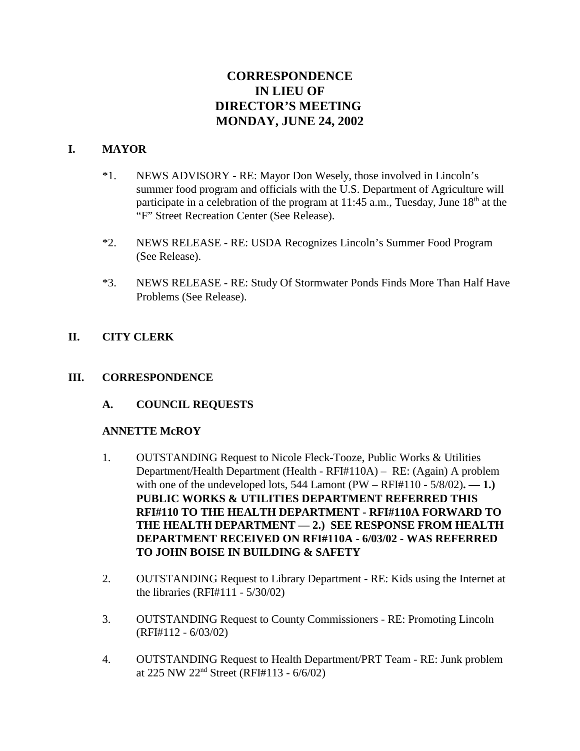# **CORRESPONDENCE IN LIEU OF DIRECTOR'S MEETING MONDAY, JUNE 24, 2002**

## **I. MAYOR**

- \*1. NEWS ADVISORY RE: Mayor Don Wesely, those involved in Lincoln's summer food program and officials with the U.S. Department of Agriculture will participate in a celebration of the program at  $11:45$  a.m., Tuesday, June  $18<sup>th</sup>$  at the "F" Street Recreation Center (See Release).
- \*2. NEWS RELEASE RE: USDA Recognizes Lincoln's Summer Food Program (See Release).
- \*3. NEWS RELEASE RE: Study Of Stormwater Ponds Finds More Than Half Have Problems (See Release).

## **II. CITY CLERK**

## **III. CORRESPONDENCE**

**A. COUNCIL REQUESTS**

#### **ANNETTE McROY**

- 1. OUTSTANDING Request to Nicole Fleck-Tooze, Public Works & Utilities Department/Health Department (Health - RFI#110A) – RE: (Again) A problem with one of the undeveloped lots,  $544$  Lamont (PW – RFI#110 -  $5/8/02$ ). — 1.) **PUBLIC WORKS & UTILITIES DEPARTMENT REFERRED THIS RFI#110 TO THE HEALTH DEPARTMENT - RFI#110A FORWARD TO THE HEALTH DEPARTMENT — 2.) SEE RESPONSE FROM HEALTH DEPARTMENT RECEIVED ON RFI#110A - 6/03/02 - WAS REFERRED TO JOHN BOISE IN BUILDING & SAFETY**
- 2. OUTSTANDING Request to Library Department RE: Kids using the Internet at the libraries (RFI#111 - 5/30/02)
- 3. OUTSTANDING Request to County Commissioners RE: Promoting Lincoln (RFI#112 - 6/03/02)
- 4. OUTSTANDING Request to Health Department/PRT Team RE: Junk problem at 225 NW 22<sup>nd</sup> Street (RFI#113 -  $6/6/02$ )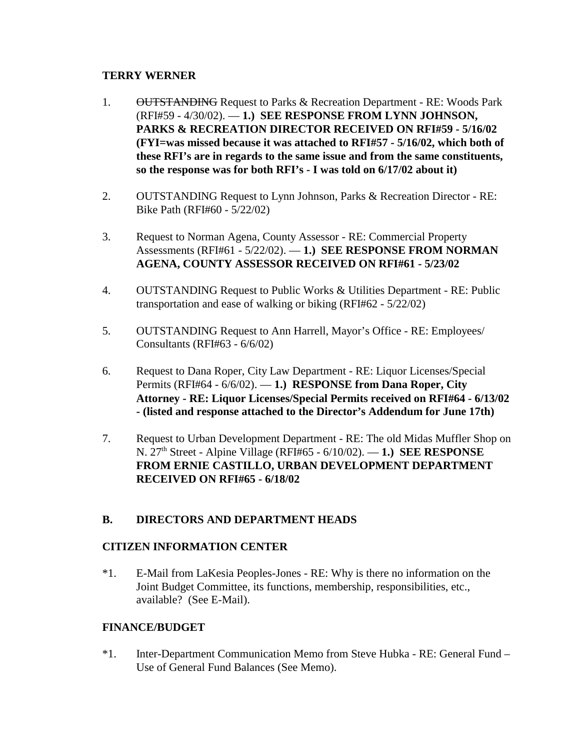#### **TERRY WERNER**

- 1. OUTSTANDING Request to Parks & Recreation Department RE: Woods Park (RFI#59 - 4/30/02). — **1.) SEE RESPONSE FROM LYNN JOHNSON, PARKS & RECREATION DIRECTOR RECEIVED ON RFI#59 - 5/16/02 (FYI=was missed because it was attached to RFI#57 - 5/16/02, which both of these RFI's are in regards to the same issue and from the same constituents, so the response was for both RFI's - I was told on 6/17/02 about it)**
- 2. OUTSTANDING Request to Lynn Johnson, Parks & Recreation Director RE: Bike Path (RFI#60 - 5/22/02)
- 3. Request to Norman Agena, County Assessor RE: Commercial Property Assessments (RFI#61 - 5/22/02). — **1.) SEE RESPONSE FROM NORMAN AGENA, COUNTY ASSESSOR RECEIVED ON RFI#61 - 5/23/02**
- 4. OUTSTANDING Request to Public Works & Utilities Department RE: Public transportation and ease of walking or biking (RFI#62 - 5/22/02)
- 5. OUTSTANDING Request to Ann Harrell, Mayor's Office RE: Employees/ Consultants (RFI#63 - 6/6/02)
- 6. Request to Dana Roper, City Law Department RE: Liquor Licenses/Special Permits (RFI#64 - 6/6/02). — **1.) RESPONSE from Dana Roper, City Attorney - RE: Liquor Licenses/Special Permits received on RFI#64 - 6/13/02 - (listed and response attached to the Director's Addendum for June 17th)**
- 7. Request to Urban Development Department RE: The old Midas Muffler Shop on N. 27th Street - Alpine Village (RFI#65 - 6/10/02). — **1.) SEE RESPONSE FROM ERNIE CASTILLO, URBAN DEVELOPMENT DEPARTMENT RECEIVED ON RFI#65 - 6/18/02**

## **B. DIRECTORS AND DEPARTMENT HEADS**

## **CITIZEN INFORMATION CENTER**

\*1. E-Mail from LaKesia Peoples-Jones - RE: Why is there no information on the Joint Budget Committee, its functions, membership, responsibilities, etc., available? (See E-Mail).

## **FINANCE/BUDGET**

\*1. Inter-Department Communication Memo from Steve Hubka - RE: General Fund – Use of General Fund Balances (See Memo).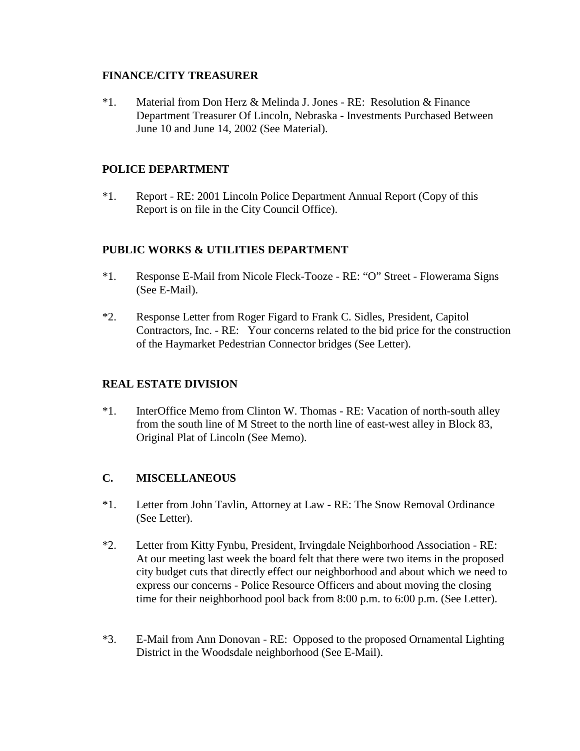#### **FINANCE/CITY TREASURER**

\*1. Material from Don Herz & Melinda J. Jones - RE: Resolution & Finance Department Treasurer Of Lincoln, Nebraska - Investments Purchased Between June 10 and June 14, 2002 (See Material).

## **POLICE DEPARTMENT**

\*1. Report - RE: 2001 Lincoln Police Department Annual Report (Copy of this Report is on file in the City Council Office).

## **PUBLIC WORKS & UTILITIES DEPARTMENT**

- \*1. Response E-Mail from Nicole Fleck-Tooze RE: "O" Street Flowerama Signs (See E-Mail).
- \*2. Response Letter from Roger Figard to Frank C. Sidles, President, Capitol Contractors, Inc. - RE: Your concerns related to the bid price for the construction of the Haymarket Pedestrian Connector bridges (See Letter).

## **REAL ESTATE DIVISION**

\*1. InterOffice Memo from Clinton W. Thomas - RE: Vacation of north-south alley from the south line of M Street to the north line of east-west alley in Block 83, Original Plat of Lincoln (See Memo).

## **C. MISCELLANEOUS**

- \*1. Letter from John Tavlin, Attorney at Law RE: The Snow Removal Ordinance (See Letter).
- \*2. Letter from Kitty Fynbu, President, Irvingdale Neighborhood Association RE: At our meeting last week the board felt that there were two items in the proposed city budget cuts that directly effect our neighborhood and about which we need to express our concerns - Police Resource Officers and about moving the closing time for their neighborhood pool back from 8:00 p.m. to 6:00 p.m. (See Letter).
- \*3. E-Mail from Ann Donovan RE: Opposed to the proposed Ornamental Lighting District in the Woodsdale neighborhood (See E-Mail).